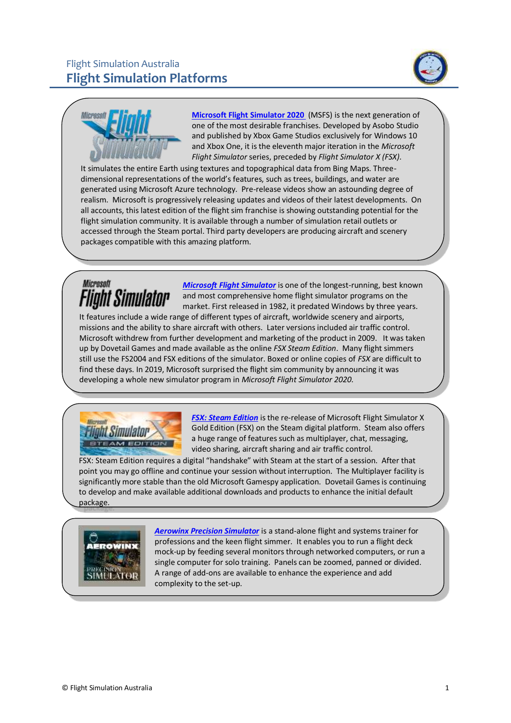



**[Microsoft Flight Simulator 2020](https://www.flightsimulator.com/)** (MSFS) is the next generation of one of the most desirable franchises. Developed by Asobo Studio and published by Xbox Game Studios exclusively for Windows 10 and Xbox One, it is the eleventh major iteration in the *Microsoft Flight Simulator* series, preceded by *Flight Simulator X (FSX)*.

It simulates the entire Earth using textures and topographical data from Bing Maps. Threedimensional representations of the world's features, such as trees, buildings, and water are generated using Microsoft Azure technology. Pre-release videos show an astounding degree of realism. Microsoft is progressively releasing updates and videos of their latest developments. On all accounts, this latest edition of the flight sim franchise is showing outstanding potential for the flight simulation community. It is available through a number of simulation retail outlets or accessed through the Steam portal. Third party developers are producing aircraft and scenery packages compatible with this amazing platform.

## Microsoft Flight Simulator

*[Microsoft Flight Simulator](https://www.microsoft.com/Products/Games/FSInsider/product/Pages/)* is one of the longest-running, best known and most comprehensive home flight simulator programs on the market. First released in 1982, it predated Windows by three years.

It features include a wide range of different types of aircraft, worldwide scenery and airports, missions and the ability to share aircraft with others. Later versions included air traffic control. Microsoft withdrew from further development and marketing of the product in 2009. It was taken up by Dovetail Games and made available as the online *FSX Steam Edition*. Many flight simmers still use the FS2004 and FSX editions of the simulator. Boxed or online copies of *FSX* are difficult to find these days. In 2019, Microsoft surprised the flight sim community by announcing it was developing a whole new simulator program in *Microsoft Flight Simulator 2020.*



**[FSX: Steam Edition](https://fsxinsider.com/about-fsx-steam-edition/)** is the re-release of Microsoft Flight Simulator X Gold Edition (FSX) on the Steam digital platform. Steam also offers a huge range of features such as multiplayer, chat, messaging, video sharing, aircraft sharing and air traffic control.

FSX: Steam Edition requires a digital "handshake" with Steam at the start of a session. After that point you may go offline and continue your session without interruption. The Multiplayer facility is significantly more stable than the old Microsoft Gamespy application. Dovetail Games is continuing to develop and make available additional downloads and products to enhance the initial default package.



*[Aerowinx Precision Simulator](http://aerowinx.com/index.html)* is a stand-alone flight and systems trainer for professions and the keen flight simmer. It enables you to run a flight deck mock-up by feeding several monitors through networked computers, or run a single computer for solo training. Panels can be zoomed, panned or divided. A range of add-ons are available to enhance the experience and add complexity to the set-up.